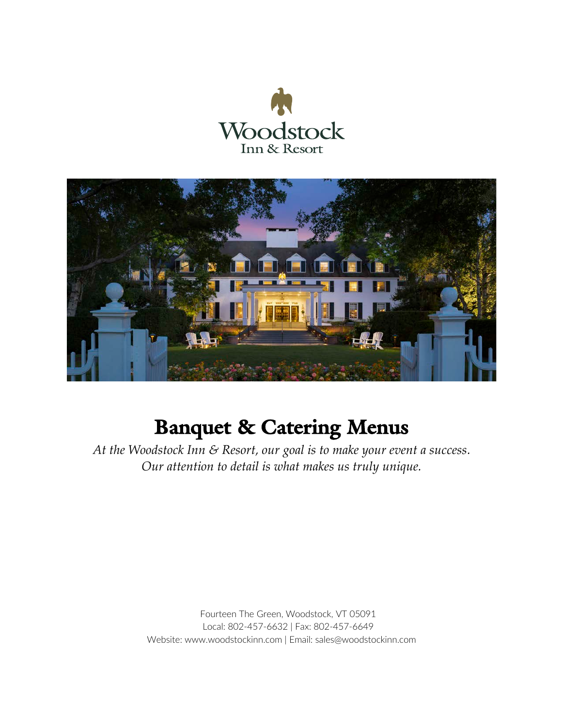



# **Banquet & Catering Menus**

*At the Woodstock Inn & Resort, our goal is to make your event a success. Our attention to detail is what makes us truly unique.*

> Fourteen The Green, Woodstock, VT 05091 Local: 802-457-6632 | Fax: 802-457-6649 Website: www.woodstockinn.com | Email: sales@woodstockinn.com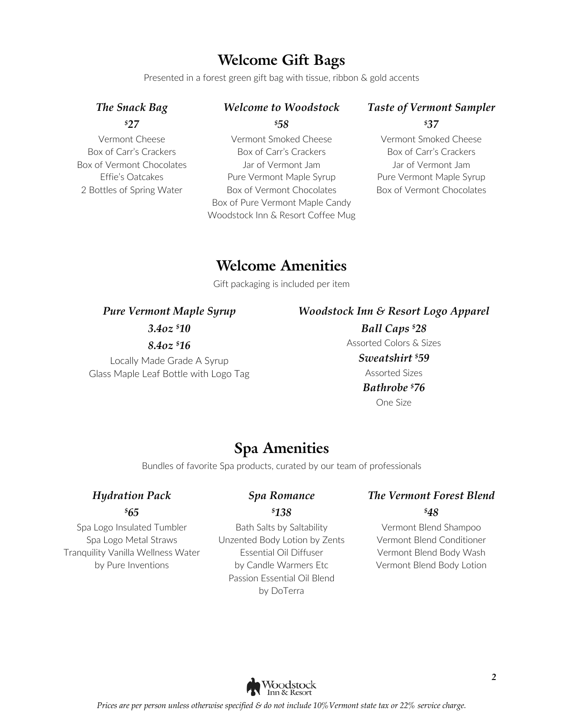### **Welcome Gift Bags**

Presented in a forest green gift bag with tissue, ribbon & gold accents

### *The Snack Bag \$ 27*

Vermont Cheese Box of Carr's Crackers Box of Vermont Chocolates Effie's Oatcakes 2 Bottles of Spring Water

### *Welcome to Woodstock \$ 58*

Vermont Smoked Cheese Box of Carr's Crackers Jar of Vermont Jam Pure Vermont Maple Syrup Box of Vermont Chocolates Box of Pure Vermont Maple Candy Woodstock Inn & Resort Coffee Mug

### *Taste of Vermont Sampler \$ 37*

Vermont Smoked Cheese Box of Carr's Crackers Jar of Vermont Jam Pure Vermont Maple Syrup Box of Vermont Chocolates

### **Welcome Amenities**

Gift packaging is included per item

*Pure Vermont Maple Syrup*

#### *Woodstock Inn & Resort Logo Apparel*

*3.4oz \$ 10*

### *8.4oz \$ 16*

Locally Made Grade A Syrup Glass Maple Leaf Bottle with Logo Tag

*Ball Caps \$ 28* Assorted Colors & Sizes *Sweatshirt \$ 59* Assorted Sizes *Bathrobe \$ 76* One Size

### **Spa Amenities**

Bundles of favorite Spa products, curated by our team of professionals

### *Hydration Pack \$ 65*

Spa Logo Insulated Tumbler Spa Logo Metal Straws Tranquility Vanilla Wellness Water by Pure Inventions

### *Spa Romance \$ 138*

#### Bath Salts by Saltability Unzented Body Lotion by Zents Essential Oil Diffuser by Candle Warmers Etc Passion Essential Oil Blend by DoTerra

### *The Vermont Forest Blend \$ 48*

Vermont Blend Shampoo Vermont Blend Conditioner Vermont Blend Body Wash Vermont Blend Body Lotion

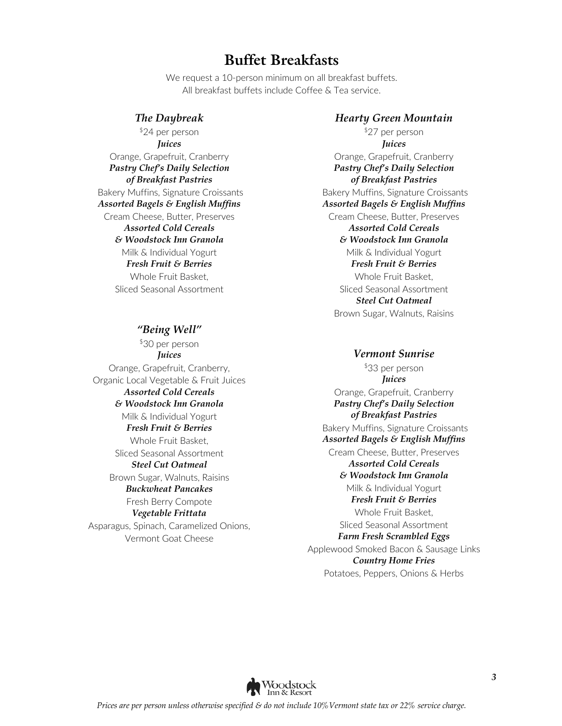### **Buffet Breakfasts**

We request a 10-person minimum on all breakfast buffets. All breakfast buffets include Coffee & Tea service.

*The Daybreak* \$24 per person *Juices* Orange, Grapefruit, Cranberry *Pastry Chef's Daily Selection of Breakfast Pastries* Bakery Muffins, Signature Croissants *Assorted Bagels & English Muffins* Cream Cheese, Butter, Preserves *Assorted Cold Cereals & Woodstock Inn Granola* Milk & Individual Yogurt *Fresh Fruit & Berries* Whole Fruit Basket, Sliced Seasonal Assortment

#### *"Being Well"*

\$30 per person *Juices* Orange, Grapefruit, Cranberry, Organic Local Vegetable & Fruit Juices *Assorted Cold Cereals & Woodstock Inn Granola* Milk & Individual Yogurt *Fresh Fruit & Berries* Whole Fruit Basket, Sliced Seasonal Assortment *Steel Cut Oatmeal* Brown Sugar, Walnuts, Raisins *Buckwheat Pancakes* Fresh Berry Compote *Vegetable Frittata* Asparagus, Spinach, Caramelized Onions, Vermont Goat Cheese

#### *Hearty Green Mountain*

\$27 per person *Juices*

Orange, Grapefruit, Cranberry *Pastry Chef's Daily Selection of Breakfast Pastries* Bakery Muffins, Signature Croissants *Assorted Bagels & English Muffins*  Cream Cheese, Butter, Preserves *Assorted Cold Cereals & Woodstock Inn Granola* Milk & Individual Yogurt *Fresh Fruit & Berries* Whole Fruit Basket, Sliced Seasonal Assortment *Steel Cut Oatmeal* Brown Sugar, Walnuts, Raisins

#### *Vermont Sunrise*

\$33 per person *Juices* Orange, Grapefruit, Cranberry *Pastry Chef's Daily Selection of Breakfast Pastries* Bakery Muffins, Signature Croissants *Assorted Bagels & English Muffins*  Cream Cheese, Butter, Preserves *Assorted Cold Cereals & Woodstock Inn Granola* Milk & Individual Yogurt *Fresh Fruit & Berries* Whole Fruit Basket, Sliced Seasonal Assortment *Farm Fresh Scrambled Eggs* Applewood Smoked Bacon & Sausage Links *Country Home Fries* Potatoes, Peppers, Onions & Herbs

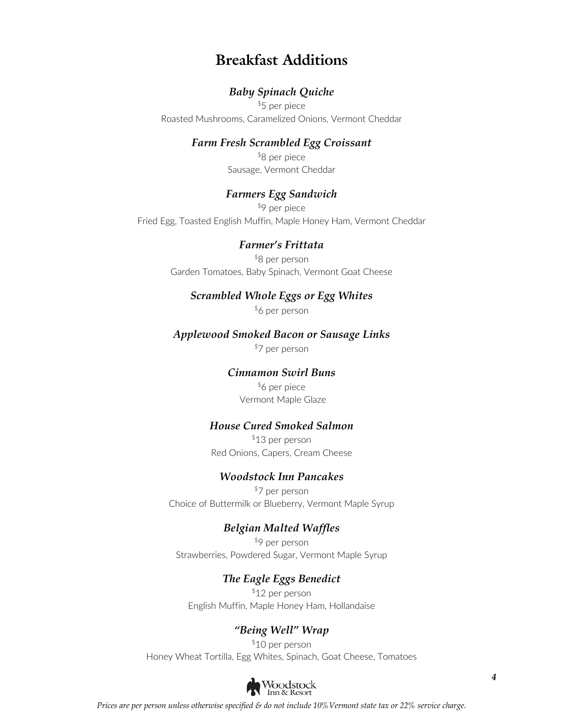### **Breakfast Additions**

#### *Baby Spinach Quiche*

\$5 per piece Roasted Mushrooms, Caramelized Onions, Vermont Cheddar

#### *Farm Fresh Scrambled Egg Croissant*

\$8 per piece Sausage, Vermont Cheddar

#### *Farmers Egg Sandwich*

\$9 per piece Fried Egg, Toasted English Muffin, Maple Honey Ham, Vermont Cheddar

#### *Farmer's Frittata*

\$8 per person Garden Tomatoes, Baby Spinach, Vermont Goat Cheese

#### *Scrambled Whole Eggs or Egg Whites*

\$6 per person

#### *Applewood Smoked Bacon or Sausage Links*

\$7 per person

#### *Cinnamon Swirl Buns*

\$6 per piece Vermont Maple Glaze

#### *House Cured Smoked Salmon*

\$13 per person Red Onions, Capers, Cream Cheese

#### *Woodstock Inn Pancakes*

\$7 per person Choice of Buttermilk or Blueberry, Vermont Maple Syrup

#### *Belgian Malted Waffles*

\$9 per person Strawberries, Powdered Sugar, Vermont Maple Syrup

#### *The Eagle Eggs Benedict*

\$12 per person English Muffin, Maple Honey Ham, Hollandaise

#### *"Being Well" Wrap*

\$10 per person Honey Wheat Tortilla, Egg Whites, Spinach, Goat Cheese, Tomatoes



*Prices are per person unless otherwise specified & do not include 10%Vermont state tax or 22% service charge.*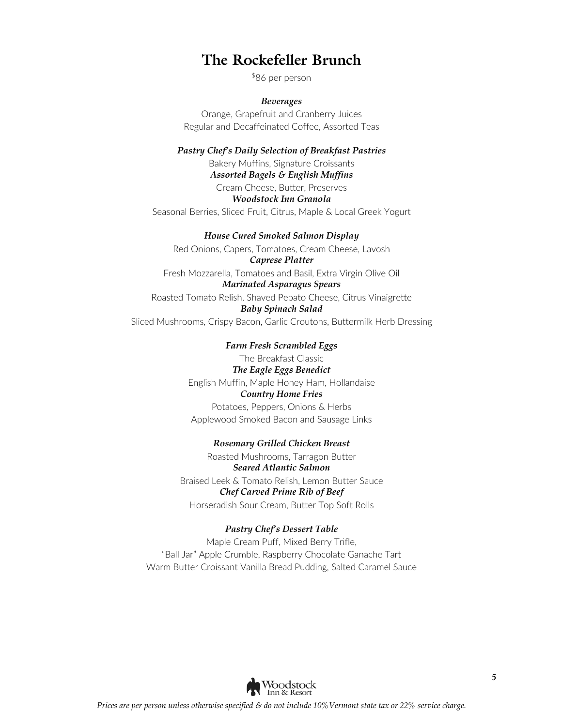### **The Rockefeller Brunch**

\$86 per person

*Beverages* Orange, Grapefruit and Cranberry Juices Regular and Decaffeinated Coffee, Assorted Teas

*Pastry Chef's Daily Selection of Breakfast Pastries* Bakery Muffins, Signature Croissants *Assorted Bagels & English Muffins*  Cream Cheese, Butter, Preserves *Woodstock Inn Granola* Seasonal Berries, Sliced Fruit, Citrus, Maple & Local Greek Yogurt

*House Cured Smoked Salmon Display* Red Onions, Capers, Tomatoes, Cream Cheese, Lavosh *Caprese Platter* Fresh Mozzarella, Tomatoes and Basil, Extra Virgin Olive Oil *Marinated Asparagus Spears*

#### Roasted Tomato Relish, Shaved Pepato Cheese, Citrus Vinaigrette *Baby Spinach Salad* Sliced Mushrooms, Crispy Bacon, Garlic Croutons, Buttermilk Herb Dressing

*Farm Fresh Scrambled Eggs* The Breakfast Classic *The Eagle Eggs Benedict* English Muffin, Maple Honey Ham, Hollandaise *Country Home Fries* Potatoes, Peppers, Onions & Herbs Applewood Smoked Bacon and Sausage Links

*Rosemary Grilled Chicken Breast* Roasted Mushrooms, Tarragon Butter *Seared Atlantic Salmon* Braised Leek & Tomato Relish, Lemon Butter Sauce *Chef Carved Prime Rib of Beef* Horseradish Sour Cream, Butter Top Soft Rolls

*Pastry Chef's Dessert Table* Maple Cream Puff, Mixed Berry Trifle, "Ball Jar" Apple Crumble, Raspberry Chocolate Ganache Tart Warm Butter Croissant Vanilla Bread Pudding, Salted Caramel Sauce

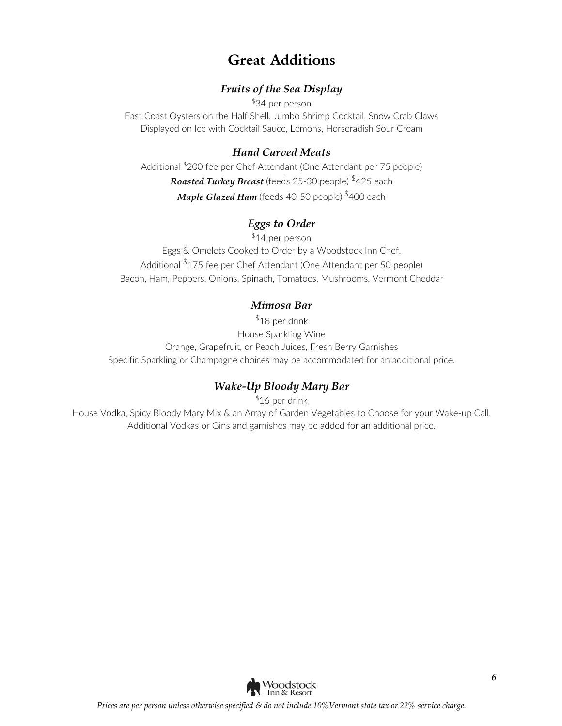## **Great Additions**

#### *Fruits of the Sea Display*

\$34 per person

East Coast Oysters on the Half Shell, Jumbo Shrimp Cocktail, Snow Crab Claws Displayed on Ice with Cocktail Sauce, Lemons, Horseradish Sour Cream

### *Hand Carved Meats*

Additional \$200 fee per Chef Attendant (One Attendant per 75 people) *Roasted Turkey Breast* (feeds 25-30 people) \$425 each *Maple Glazed Ham* (feeds 40-50 people) \$400 each

### *Eggs to Order*

\$14 per person Eggs & Omelets Cooked to Order by a Woodstock Inn Chef. Additional \$175 fee per Chef Attendant (One Attendant per 50 people) Bacon, Ham, Peppers, Onions, Spinach, Tomatoes, Mushrooms, Vermont Cheddar

### *Mimosa Bar*

 $$18$  per drink House Sparkling Wine Orange, Grapefruit, or Peach Juices, Fresh Berry Garnishes Specific Sparkling or Champagne choices may be accommodated for an additional price.

### *Wake-Up Bloody Mary Bar*

\$16 per drink

House Vodka, Spicy Bloody Mary Mix & an Array of Garden Vegetables to Choose for your Wake-up Call. Additional Vodkas or Gins and garnishes may be added for an additional price.

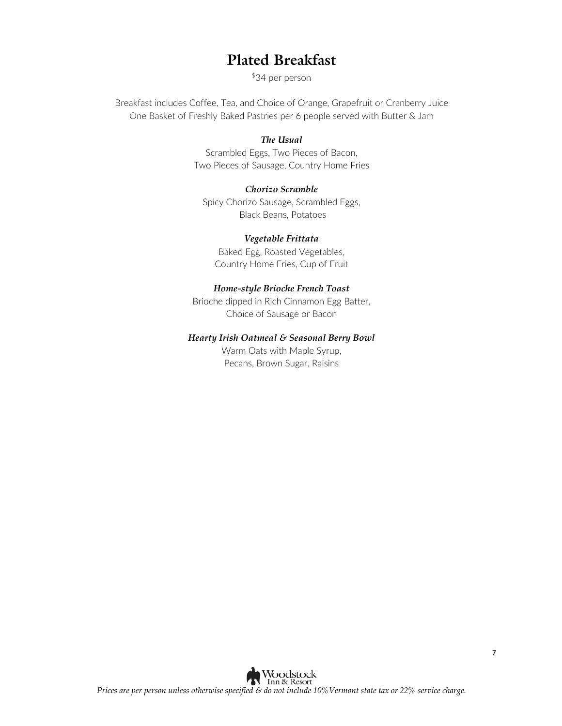### **Plated Breakfast**

\$34 per person

Breakfast includes Coffee, Tea, and Choice of Orange, Grapefruit or Cranberry Juice One Basket of Freshly Baked Pastries per 6 people served with Butter & Jam

#### *The Usual*

Scrambled Eggs, Two Pieces of Bacon, Two Pieces of Sausage, Country Home Fries

#### *Chorizo Scramble*

Spicy Chorizo Sausage, Scrambled Eggs, Black Beans, Potatoes

#### *Vegetable Frittata*

Baked Egg, Roasted Vegetables, Country Home Fries, Cup of Fruit

#### *Home-style Brioche French Toast*

Brioche dipped in Rich Cinnamon Egg Batter, Choice of Sausage or Bacon

#### *Hearty Irish Oatmeal & Seasonal Berry Bowl*

Warm Oats with Maple Syrup, Pecans, Brown Sugar, Raisins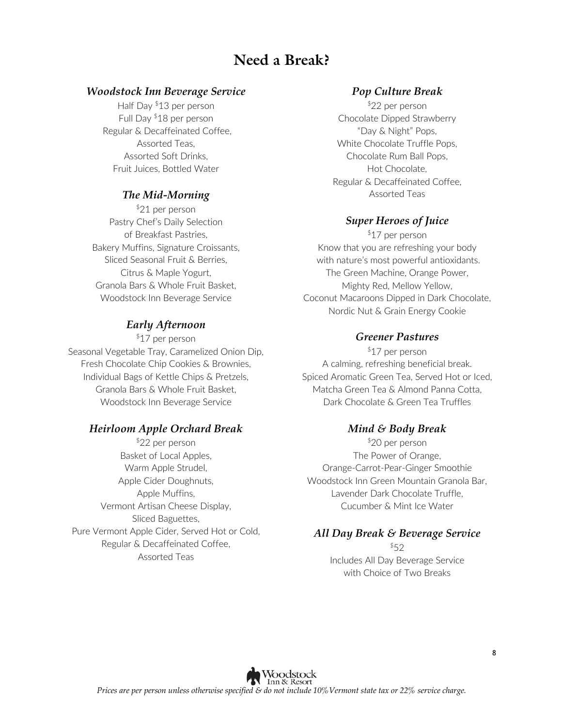### **Need a Break?**

#### *Woodstock Inn Beverage Service*

Half Day \$13 per person Full Day \$18 per person Regular & Decaffeinated Coffee, Assorted Teas, Assorted Soft Drinks, Fruit Juices, Bottled Water

#### *The Mid-Morning*

\$21 per person Pastry Chef's Daily Selection of Breakfast Pastries, Bakery Muffins, Signature Croissants, Sliced Seasonal Fruit & Berries, Citrus & Maple Yogurt, Granola Bars & Whole Fruit Basket, Woodstock Inn Beverage Service

#### *Early Afternoon*

\$17 per person Seasonal Vegetable Tray, Caramelized Onion Dip, Fresh Chocolate Chip Cookies & Brownies, Individual Bags of Kettle Chips & Pretzels, Granola Bars & Whole Fruit Basket, Woodstock Inn Beverage Service

#### *Heirloom Apple Orchard Break*

\$22 per person Basket of Local Apples, Warm Apple Strudel, Apple Cider Doughnuts, Apple Muffins, Vermont Artisan Cheese Display, Sliced Baguettes, Pure Vermont Apple Cider, Served Hot or Cold, Regular & Decaffeinated Coffee, Assorted Teas

#### *Pop Culture Break*

\$22 per person Chocolate Dipped Strawberry "Day & Night" Pops, White Chocolate Truffle Pops, Chocolate Rum Ball Pops, Hot Chocolate, Regular & Decaffeinated Coffee, Assorted Teas

#### *Super Heroes of Juice*

\$17 per person Know that you are refreshing your body with nature's most powerful antioxidants. The Green Machine, Orange Power, Mighty Red, Mellow Yellow, Coconut Macaroons Dipped in Dark Chocolate, Nordic Nut & Grain Energy Cookie

#### *Greener Pastures*

\$17 per person A calming, refreshing beneficial break. Spiced Aromatic Green Tea, Served Hot or Iced, Matcha Green Tea & Almond Panna Cotta, Dark Chocolate & Green Tea Truffles

#### *Mind & Body Break*

\$20 per person The Power of Orange, Orange-Carrot-Pear-Ginger Smoothie Woodstock Inn Green Mountain Granola Bar, Lavender Dark Chocolate Truffle, Cucumber & Mint Ice Water

#### *All Day Break & Beverage Service*

 $$52$ Includes All Day Beverage Service with Choice of Two Breaks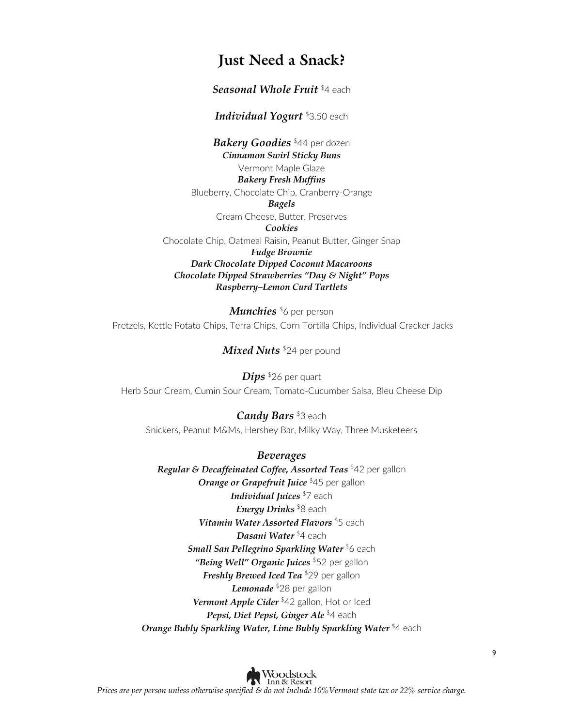### **Just Need a Snack?**

*Seasonal Whole Fruit* \$4 each

*Individual Yogurt* \$3.50 each

*Bakery Goodies* \$44 per dozen *Cinnamon Swirl Sticky Buns* Vermont Maple Glaze *Bakery Fresh Muffins* Blueberry, Chocolate Chip, Cranberry-Orange *Bagels* Cream Cheese, Butter, Preserves *Cookies* Chocolate Chip, Oatmeal Raisin, Peanut Butter, Ginger Snap *Fudge Brownie Dark Chocolate Dipped Coconut Macaroons Chocolate Dipped Strawberries "Day & Night" Pops Raspberry–Lemon Curd Tartlets*

*Munchies*<sup>\$6</sup> per person Pretzels, Kettle Potato Chips, Terra Chips, Corn Tortilla Chips, Individual Cracker Jacks

*Mixed Nuts* \$24 per pound

*Dips* \$26 per quart Herb Sour Cream, Cumin Sour Cream, Tomato-Cucumber Salsa, Bleu Cheese Dip

*Candy Bars* \$3 each Snickers, Peanut M&Ms, Hershey Bar, Milky Way, Three Musketeers

*Beverages Regular & Decaffeinated Coffee, Assorted Teas* \$42 per gallon *Orange or Grapefruit Juice* \$45 per gallon *Individual Juices* \$7 each *Energy Drinks* \$8 each *Vitamin Water Assorted Flavors* \$5 each *Dasani Water* \$4 each *Small San Pellegrino Sparkling Water* \$6 each *"Being Well" Organic Juices* \$52 per gallon *Freshly Brewed Iced Tea* \$29 per gallon *Lemonade* \$28 per gallon *Vermont Apple Cider* \$42 gallon, Hot or Iced *Pepsi, Diet Pepsi, Ginger Ale* \$4 each *Orange Bubly Sparkling Water, Lime Bubly Sparkling Water* **\$4 each**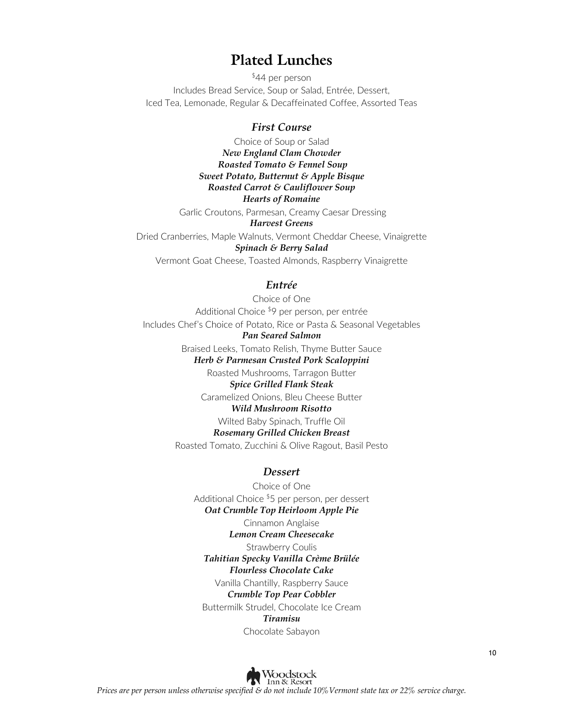### **Plated Lunches**

\$44 per person Includes Bread Service, Soup or Salad, Entrée, Dessert, Iced Tea, Lemonade, Regular & Decaffeinated Coffee, Assorted Teas

#### *First Course*

Choice of Soup or Salad *New England Clam Chowder Roasted Tomato & Fennel Soup Sweet Potato, Butternut & Apple Bisque Roasted Carrot & Cauliflower Soup Hearts of Romaine* Garlic Croutons, Parmesan, Creamy Caesar Dressing *Harvest Greens* Dried Cranberries, Maple Walnuts, Vermont Cheddar Cheese, Vinaigrette *Spinach & Berry Salad* Vermont Goat Cheese, Toasted Almonds, Raspberry Vinaigrette

#### *Entrée*

Choice of One Additional Choice \$9 per person, per entrée Includes Chef's Choice of Potato, Rice or Pasta & Seasonal Vegetables *Pan Seared Salmon* Braised Leeks, Tomato Relish, Thyme Butter Sauce *Herb & Parmesan Crusted Pork Scaloppini* Roasted Mushrooms, Tarragon Butter *Spice Grilled Flank Steak* Caramelized Onions, Bleu Cheese Butter

#### *Wild Mushroom Risotto*

Wilted Baby Spinach, Truffle Oil

#### *Rosemary Grilled Chicken Breast*

Roasted Tomato, Zucchini & Olive Ragout, Basil Pesto

#### *Dessert*

Choice of One Additional Choice \$5 per person, per dessert *Oat Crumble Top Heirloom Apple Pie*

> Cinnamon Anglaise *Lemon Cream Cheesecake*

#### Strawberry Coulis

#### *Tahitian Specky Vanilla Crème Brülée*

*Flourless Chocolate Cake*

Vanilla Chantilly, Raspberry Sauce

#### *Crumble Top Pear Cobbler*

Buttermilk Strudel, Chocolate Ice Cream

#### *Tiramisu*

Chocolate Sabayon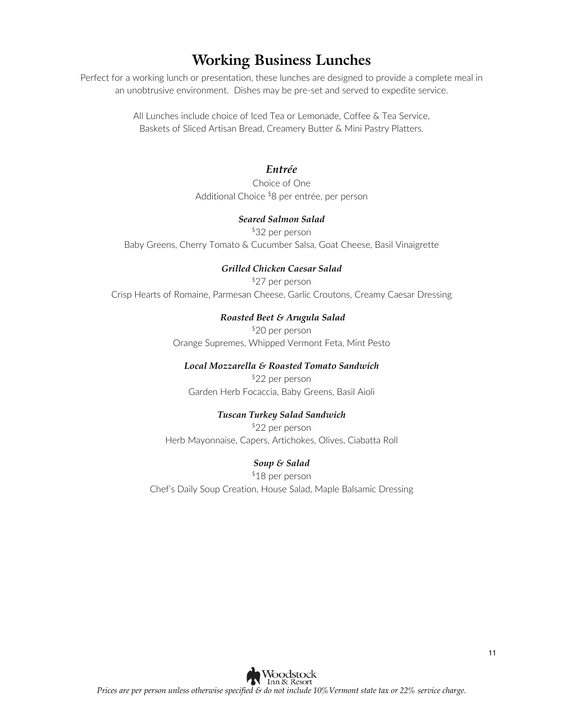### **Working Business Lunches**

Perfect for a working lunch or presentation, these lunches are designed to provide a complete meal in an unobtrusive environment. Dishes may be pre-set and served to expedite service.

> All Lunches include choice of Iced Tea or Lemonade, Coffee & Tea Service, Baskets of Sliced Artisan Bread, Creamery Butter & Mini Pastry Platters.

#### *Entrée*

Choice of One Additional Choice \$8 per entrée, per person

#### *Seared Salmon Salad*

\$32 per person Baby Greens, Cherry Tomato & Cucumber Salsa, Goat Cheese, Basil Vinaigrette

#### *Grilled Chicken Caesar Salad*

\$27 per person Crisp Hearts of Romaine, Parmesan Cheese, Garlic Croutons, Creamy Caesar Dressing

#### *Roasted Beet & Arugula Salad*

\$20 per person Orange Supremes, Whipped Vermont Feta, Mint Pesto

#### *Local Mozzarella & Roasted Tomato Sandwich*

\$22 per person Garden Herb Focaccia, Baby Greens, Basil Aioli

#### *Tuscan Turkey Salad Sandwich*

\$22 per person Herb Mayonnaise, Capers, Artichokes, Olives, Ciabatta Roll

#### *Soup & Salad*

\$18 per person Chef's Daily Soup Creation, House Salad, Maple Balsamic Dressing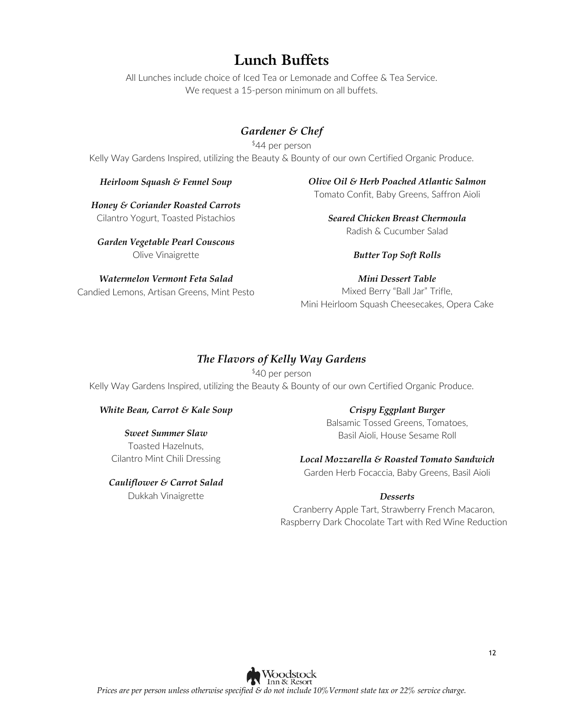### **Lunch Buffets**

All Lunches include choice of Iced Tea or Lemonade and Coffee & Tea Service. We request a 15-person minimum on all buffets.

### *Gardener & Chef*

\$44 per person Kelly Way Gardens Inspired, utilizing the Beauty & Bounty of our own Certified Organic Produce.

#### *Heirloom Squash & Fennel Soup*

*Olive Oil & Herb Poached Atlantic Salmon* Tomato Confit, Baby Greens, Saffron Aioli

*Honey & Coriander Roasted Carrots* Cilantro Yogurt, Toasted Pistachios

*Garden Vegetable Pearl Couscous* Olive Vinaigrette

*Watermelon Vermont Feta Salad* Candied Lemons, Artisan Greens, Mint Pesto *Seared Chicken Breast Chermoula* Radish & Cucumber Salad

#### *Butter Top Soft Rolls*

*Mini Dessert Table* Mixed Berry "Ball Jar" Trifle, Mini Heirloom Squash Cheesecakes, Opera Cake

#### *The Flavors of Kelly Way Gardens*

\$40 per person Kelly Way Gardens Inspired, utilizing the Beauty & Bounty of our own Certified Organic Produce.

#### *White Bean, Carrot & Kale Soup*

*Sweet Summer Slaw* Toasted Hazelnuts, Cilantro Mint Chili Dressing

*Cauliflower & Carrot Salad* Dukkah Vinaigrette

#### *Crispy Eggplant Burger*

Balsamic Tossed Greens, Tomatoes, Basil Aioli, House Sesame Roll

#### *Local Mozzarella & Roasted Tomato Sandwich*

Garden Herb Focaccia, Baby Greens, Basil Aioli

#### *Desserts*

Cranberry Apple Tart, Strawberry French Macaron, Raspberry Dark Chocolate Tart with Red Wine Reduction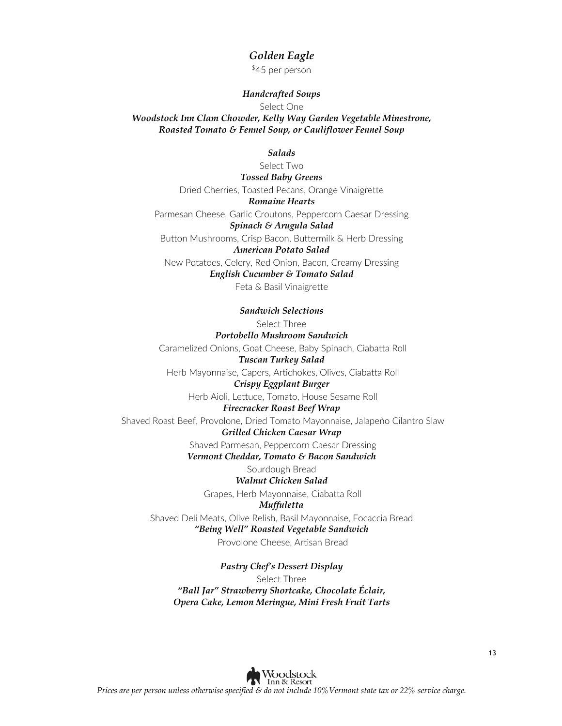#### *Golden Eagle*

\$45 per person

#### *Handcrafted Soups*

Select One

*Woodstock Inn Clam Chowder, Kelly Way Garden Vegetable Minestrone, Roasted Tomato & Fennel Soup, or Cauliflower Fennel Soup*

#### *Salads*

Select Two *Tossed Baby Greens* Dried Cherries, Toasted Pecans, Orange Vinaigrette *Romaine Hearts* Parmesan Cheese, Garlic Croutons, Peppercorn Caesar Dressing *Spinach & Arugula Salad* Button Mushrooms, Crisp Bacon, Buttermilk & Herb Dressing *American Potato Salad* New Potatoes, Celery, Red Onion, Bacon, Creamy Dressing *English Cucumber & Tomato Salad*  Feta & Basil Vinaigrette

*Sandwich Selections*

Select Three

*Portobello Mushroom Sandwich* Caramelized Onions, Goat Cheese, Baby Spinach, Ciabatta Roll

*Tuscan Turkey Salad* Herb Mayonnaise, Capers, Artichokes, Olives, Ciabatta Roll

*Crispy Eggplant Burger*

Herb Aioli, Lettuce, Tomato, House Sesame Roll

#### *Firecracker Roast Beef Wrap*

Shaved Roast Beef, Provolone, Dried Tomato Mayonnaise, Jalapeño Cilantro Slaw *Grilled Chicken Caesar Wrap*

Shaved Parmesan, Peppercorn Caesar Dressing

*Vermont Cheddar, Tomato & Bacon Sandwich*

#### Sourdough Bread

*Walnut Chicken Salad*

Grapes, Herb Mayonnaise, Ciabatta Roll

*Muffuletta* Shaved Deli Meats, Olive Relish, Basil Mayonnaise, Focaccia Bread

### *"Being Well" Roasted Vegetable Sandwich*

Provolone Cheese, Artisan Bread

*Pastry Chef's Dessert Display*

Select Three *"Ball Jar" Strawberry Shortcake, Chocolate Éclair, Opera Cake, Lemon Meringue, Mini Fresh Fruit Tarts*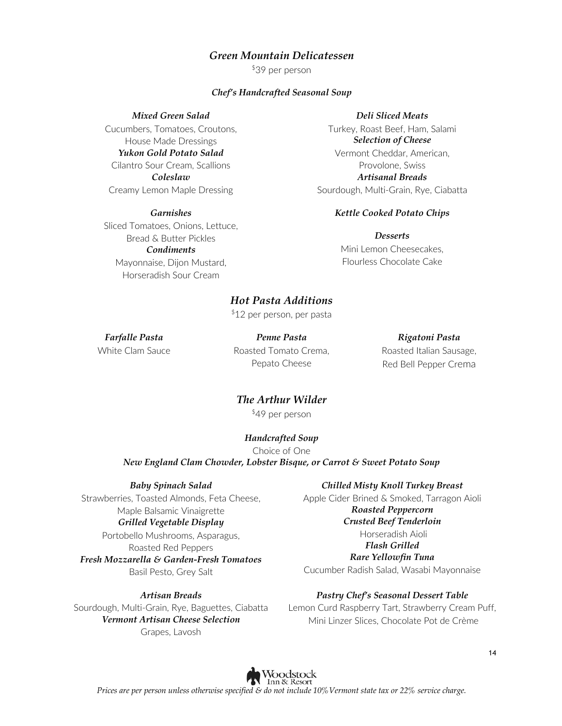#### *Green Mountain Delicatessen*

\$39 per person

#### *Chef's Handcrafted Seasonal Soup*

*Mixed Green Salad*

Cucumbers, Tomatoes, Croutons, House Made Dressings *Yukon Gold Potato Salad* Cilantro Sour Cream, Scallions *Coleslaw* Creamy Lemon Maple Dressing

*Garnishes* Sliced Tomatoes, Onions, Lettuce, Bread & Butter Pickles *Condiments* Mayonnaise, Dijon Mustard, Horseradish Sour Cream

#### *Deli Sliced Meats*

Turkey, Roast Beef, Ham, Salami *Selection of Cheese* Vermont Cheddar, American, Provolone, Swiss *Artisanal Breads* Sourdough, Multi-Grain, Rye, Ciabatta

#### *Kettle Cooked Potato Chips*

*Desserts* Mini Lemon Cheesecakes, Flourless Chocolate Cake

#### *Hot Pasta Additions*

\$12 per person, per pasta

*Farfalle Pasta* White Clam Sauce

*Penne Pasta*  Roasted Tomato Crema, Pepato Cheese

*Rigatoni Pasta*  Roasted Italian Sausage, Red Bell Pepper Crema

### *The Arthur Wilder*

\$49 per person

#### *Handcrafted Soup*

Choice of One *New England Clam Chowder, Lobster Bisque, or Carrot & Sweet Potato Soup*

*Baby Spinach Salad*

#### Strawberries, Toasted Almonds, Feta Cheese, Maple Balsamic Vinaigrette *Grilled Vegetable Display*

Portobello Mushrooms, Asparagus, Roasted Red Peppers *Fresh Mozzarella & Garden-Fresh Tomatoes* Basil Pesto, Grey Salt

*Artisan Breads*

Sourdough, Multi-Grain, Rye, Baguettes, Ciabatta *Vermont Artisan Cheese Selection* Grapes, Lavosh

#### *Chilled Misty Knoll Turkey Breast*

Apple Cider Brined & Smoked, Tarragon Aioli *Roasted Peppercorn Crusted Beef Tenderloin*  Horseradish Aioli *Flash Grilled* 

#### *Rare Yellowfin Tuna*

Cucumber Radish Salad, Wasabi Mayonnaise

#### *Pastry Chef's Seasonal Dessert Table*

Lemon Curd Raspberry Tart, Strawberry Cream Puff, Mini Linzer Slices, Chocolate Pot de Crème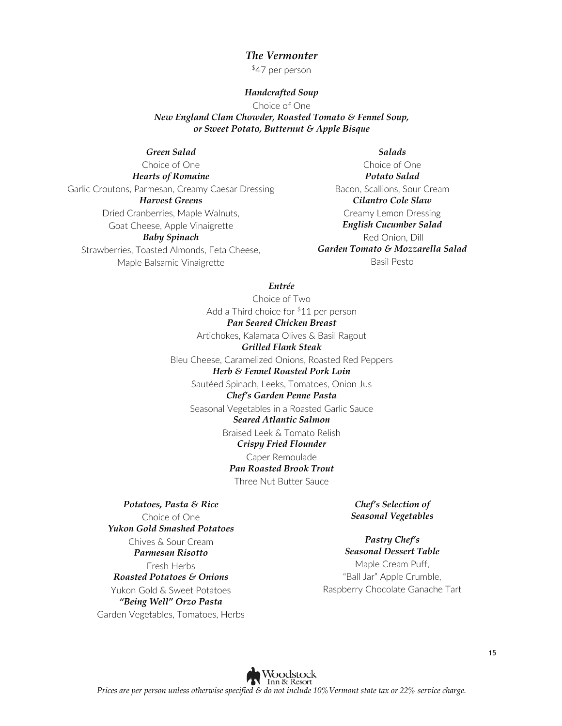#### *The Vermonter*

\$47 per person

#### *Handcrafted Soup*

Choice of One

*New England Clam Chowder, Roasted Tomato & Fennel Soup, or Sweet Potato, Butternut & Apple Bisque*

#### *Green Salad*

Choice of One *Hearts of Romaine* Garlic Croutons, Parmesan, Creamy Caesar Dressing *Harvest Greens* Dried Cranberries, Maple Walnuts, Goat Cheese, Apple Vinaigrette *Baby Spinach* Strawberries, Toasted Almonds, Feta Cheese, Maple Balsamic Vinaigrette

*Salads*

Choice of One *Potato Salad*  Bacon, Scallions, Sour Cream *Cilantro Cole Slaw* Creamy Lemon Dressing *English Cucumber Salad* Red Onion, Dill *Garden Tomato & Mozzarella Salad* Basil Pesto

#### *Entrée*

Choice of Two Add a Third choice for \$11 per person *Pan Seared Chicken Breast* Artichokes, Kalamata Olives & Basil Ragout *Grilled Flank Steak* Bleu Cheese, Caramelized Onions, Roasted Red Peppers *Herb & Fennel Roasted Pork Loin*  Sautéed Spinach, Leeks, Tomatoes, Onion Jus *Chef's Garden Penne Pasta* Seasonal Vegetables in a Roasted Garlic Sauce *Seared Atlantic Salmon*

Braised Leek & Tomato Relish

#### *Crispy Fried Flounder*

Caper Remoulade *Pan Roasted Brook Trout*

Three Nut Butter Sauce

*Potatoes, Pasta & Rice*  Choice of One *Yukon Gold Smashed Potatoes* Chives & Sour Cream *Parmesan Risotto* Fresh Herbs *Roasted Potatoes & Onions* Yukon Gold & Sweet Potatoes *"Being Well" Orzo Pasta* Garden Vegetables, Tomatoes, Herbs

*Chef's Selection of Seasonal Vegetables*

*Pastry Chef's Seasonal Dessert Table* Maple Cream Puff, "Ball Jar" Apple Crumble, Raspberry Chocolate Ganache Tart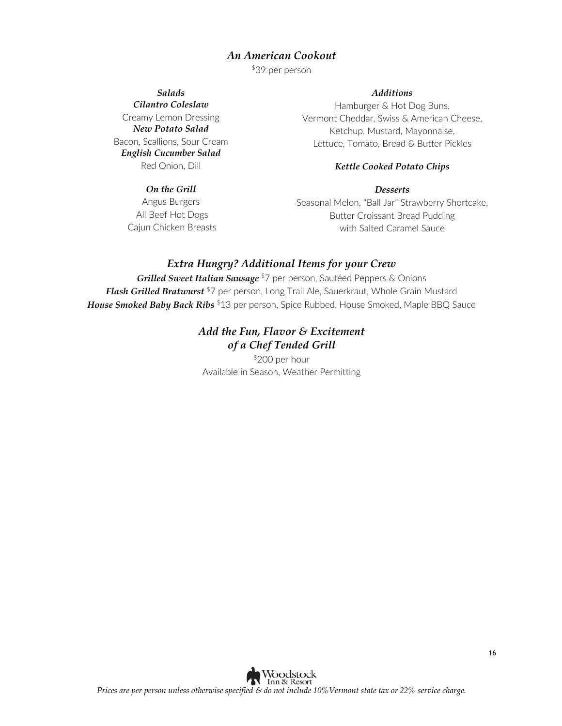#### *An American Cookout*

\$39 per person

*Salads Cilantro Coleslaw*

Creamy Lemon Dressing *New Potato Salad* Bacon, Scallions, Sour Cream *English Cucumber Salad*  Red Onion, Dill

#### *On the Grill*

Angus Burgers All Beef Hot Dogs Cajun Chicken Breasts

#### *Additions*

Hamburger & Hot Dog Buns, Vermont Cheddar, Swiss & American Cheese, Ketchup, Mustard, Mayonnaise, Lettuce, Tomato, Bread & Butter Pickles

#### *Kettle Cooked Potato Chips*

#### *Desserts*

Seasonal Melon, "Ball Jar" Strawberry Shortcake, Butter Croissant Bread Pudding with Salted Caramel Sauce

#### *Extra Hungry? Additional Items for your Crew*

*Grilled Sweet Italian Sausage* \$7 per person, Sautéed Peppers & Onions *Flash Grilled Bratwurst* \$7 per person, Long Trail Ale, Sauerkraut, Whole Grain Mustard *House Smoked Baby Back Ribs*<sup>\$13</sup> per person, Spice Rubbed, House Smoked, Maple BBQ Sauce

#### *Add the Fun, Flavor & Excitement of a Chef Tended Grill*

\$200 per hour Available in Season, Weather Permitting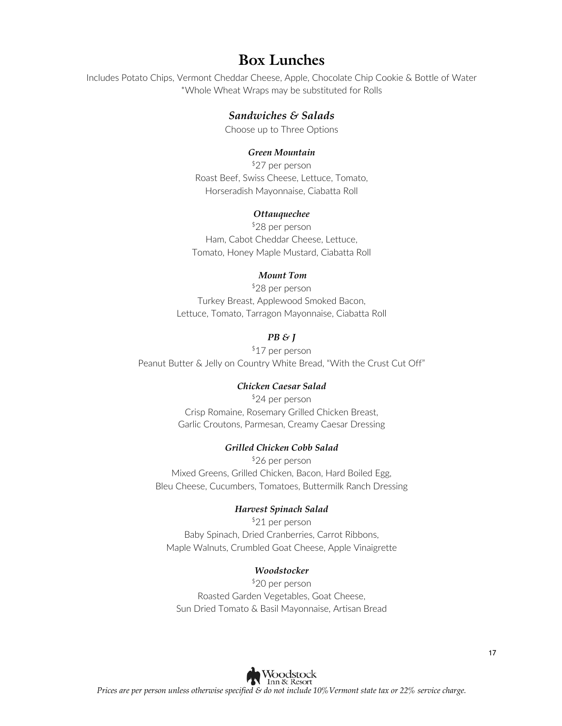### **Box Lunches**

Includes Potato Chips, Vermont Cheddar Cheese, Apple, Chocolate Chip Cookie & Bottle of Water \*Whole Wheat Wraps may be substituted for Rolls

#### *Sandwiches & Salads*

Choose up to Three Options

#### *Green Mountain*

\$27 per person Roast Beef, Swiss Cheese, Lettuce, Tomato, Horseradish Mayonnaise, Ciabatta Roll

#### *Ottauquechee*

\$28 per person Ham, Cabot Cheddar Cheese, Lettuce, Tomato, Honey Maple Mustard, Ciabatta Roll

#### *Mount Tom*

\$28 per person Turkey Breast, Applewood Smoked Bacon, Lettuce, Tomato, Tarragon Mayonnaise, Ciabatta Roll

#### *PB & J*

\$17 per person Peanut Butter & Jelly on Country White Bread, "With the Crust Cut Off"

#### *Chicken Caesar Salad*

\$24 per person Crisp Romaine, Rosemary Grilled Chicken Breast, Garlic Croutons, Parmesan, Creamy Caesar Dressing

#### *Grilled Chicken Cobb Salad*

\$26 per person Mixed Greens, Grilled Chicken, Bacon, Hard Boiled Egg, Bleu Cheese, Cucumbers, Tomatoes, Buttermilk Ranch Dressing

#### *Harvest Spinach Salad*

\$21 per person Baby Spinach, Dried Cranberries, Carrot Ribbons, Maple Walnuts, Crumbled Goat Cheese, Apple Vinaigrette

#### *Woodstocker*

\$20 per person Roasted Garden Vegetables, Goat Cheese, Sun Dried Tomato & Basil Mayonnaise, Artisan Bread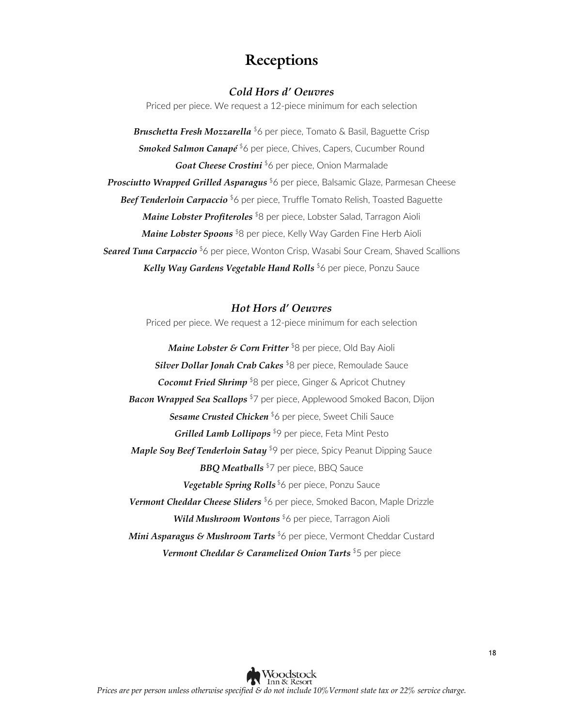### **Receptions**

#### *Cold Hors d' Oeuvres*

Priced per piece. We request a 12-piece minimum for each selection

*Bruschetta Fresh Mozzarella* \$6 per piece, Tomato & Basil, Baguette Crisp *Smoked Salmon Canapé*<sup>\$6</sup> per piece, Chives, Capers, Cucumber Round Goat Cheese Crostini<sup>\$</sup>6 per piece, Onion Marmalade *Prosciutto Wrapped Grilled Asparagus* \$6 per piece, Balsamic Glaze, Parmesan Cheese **Beef Tenderloin Carpaccio** <sup>\$</sup>6 per piece, Truffle Tomato Relish, Toasted Baguette *Maine Lobster Profiteroles* \$8 per piece, Lobster Salad, Tarragon Aioli *Maine Lobster Spoons*<sup>\$8</sup> per piece, Kelly Way Garden Fine Herb Aioli *Seared Tuna Carpaccio* \$6 per piece, Wonton Crisp, Wasabi Sour Cream, Shaved Scallions *Kelly Way Gardens Vegetable Hand Rolls* \$6 per piece, Ponzu Sauce

#### *Hot Hors d' Oeuvres*

Priced per piece. We request a 12-piece minimum for each selection

*Maine Lobster & Corn Fritter* \$8 per piece, Old Bay Aioli *Silver Dollar Jonah Crab Cakes* \$8 per piece, Remoulade Sauce *Coconut Fried Shrimp* <sup>\$</sup>8 per piece, Ginger & Apricot Chutney *Bacon Wrapped Sea Scallops* \$7 per piece, Applewood Smoked Bacon, Dijon **Sesame Crusted Chicken** \$6 per piece, Sweet Chili Sauce *Grilled Lamb Lollipops* \$9 per piece, Feta Mint Pesto *Maple Soy Beef Tenderloin Satay* \$9 per piece, Spicy Peanut Dipping Sauce **BBQ Meatballs** <sup>\$7</sup> per piece, BBQ Sauce Vegetable Spring Rolls<sup>\$6</sup> per piece, Ponzu Sauce *Vermont Cheddar Cheese Sliders* \$6 per piece, Smoked Bacon, Maple Drizzle *Wild Mushroom Wontons* \$6 per piece, Tarragon Aioli *Mini Asparagus & Mushroom Tarts* \$6 per piece, Vermont Cheddar Custard *Vermont Cheddar & Caramelized Onion Tarts* \$5 per piece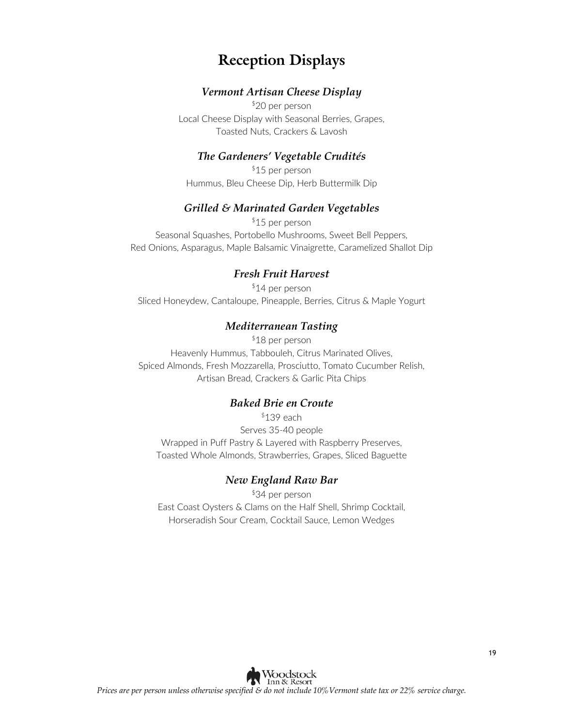### **Reception Displays**

#### *Vermont Artisan Cheese Display*

\$20 per person Local Cheese Display with Seasonal Berries, Grapes, Toasted Nuts, Crackers & Lavosh

#### *The Gardeners' Vegetable Crudités*

\$15 per person Hummus, Bleu Cheese Dip, Herb Buttermilk Dip

#### *Grilled & Marinated Garden Vegetables*

\$15 per person Seasonal Squashes, Portobello Mushrooms, Sweet Bell Peppers, Red Onions, Asparagus, Maple Balsamic Vinaigrette, Caramelized Shallot Dip

#### *Fresh Fruit Harvest*

\$14 per person Sliced Honeydew, Cantaloupe, Pineapple, Berries, Citrus & Maple Yogurt

#### *Mediterranean Tasting*

\$18 per person Heavenly Hummus, Tabbouleh, Citrus Marinated Olives, Spiced Almonds, Fresh Mozzarella, Prosciutto, Tomato Cucumber Relish, Artisan Bread, Crackers & Garlic Pita Chips

#### *Baked Brie en Croute*

 $$139$  each Serves 35-40 people Wrapped in Puff Pastry & Layered with Raspberry Preserves, Toasted Whole Almonds, Strawberries, Grapes, Sliced Baguette

#### *New England Raw Bar*

\$34 per person East Coast Oysters & Clams on the Half Shell, Shrimp Cocktail, Horseradish Sour Cream, Cocktail Sauce, Lemon Wedges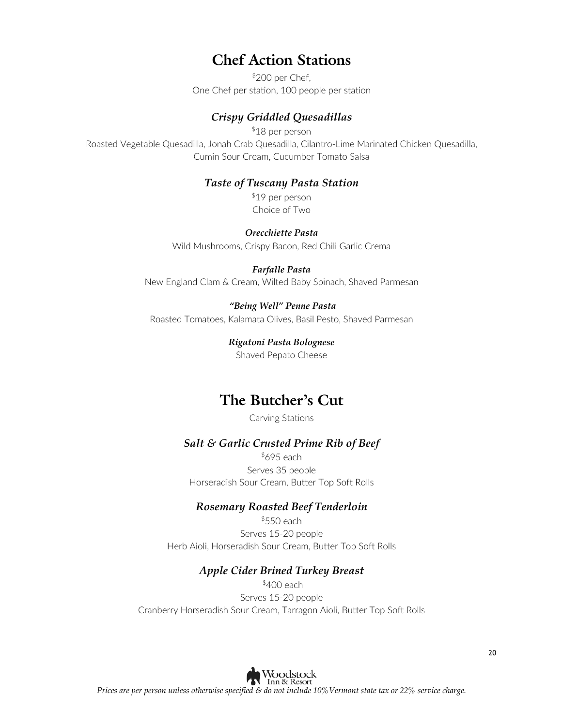### **Chef Action Stations**

\$200 per Chef, One Chef per station, 100 people per station

#### *Crispy Griddled Quesadillas*

\$18 per person Roasted Vegetable Quesadilla, Jonah Crab Quesadilla, Cilantro-Lime Marinated Chicken Quesadilla, Cumin Sour Cream, Cucumber Tomato Salsa

#### *Taste of Tuscany Pasta Station*

\$19 per person Choice of Two

*Orecchiette Pasta*

Wild Mushrooms, Crispy Bacon, Red Chili Garlic Crema

#### *Farfalle Pasta*

New England Clam & Cream, Wilted Baby Spinach, Shaved Parmesan

#### *"Being Well" Penne Pasta*

Roasted Tomatoes, Kalamata Olives, Basil Pesto, Shaved Parmesan

### *Rigatoni Pasta Bolognese*

Shaved Pepato Cheese

### **The Butcher's Cut**

Carving Stations

#### *Salt & Garlic Crusted Prime Rib of Beef*

 $$695$  each Serves 35 people Horseradish Sour Cream, Butter Top Soft Rolls

#### *Rosemary Roasted Beef Tenderloin*

 $$550$  each Serves 15-20 people Herb Aioli, Horseradish Sour Cream, Butter Top Soft Rolls

#### *Apple Cider Brined Turkey Breast*

\$400 each Serves 15-20 people Cranberry Horseradish Sour Cream, Tarragon Aioli, Butter Top Soft Rolls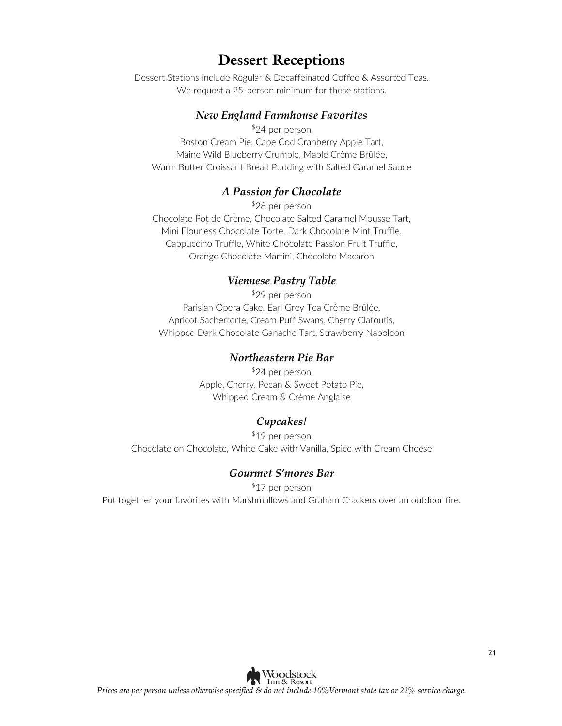### **Dessert Receptions**

Dessert Stations include Regular & Decaffeinated Coffee & Assorted Teas. We request a 25-person minimum for these stations.

#### *New England Farmhouse Favorites*

\$24 per person Boston Cream Pie, Cape Cod Cranberry Apple Tart, Maine Wild Blueberry Crumble, Maple Crème Brûlée, Warm Butter Croissant Bread Pudding with Salted Caramel Sauce

#### *A Passion for Chocolate*

\$28 per person Chocolate Pot de Crème, Chocolate Salted Caramel Mousse Tart, Mini Flourless Chocolate Torte, Dark Chocolate Mint Truffle, Cappuccino Truffle, White Chocolate Passion Fruit Truffle, Orange Chocolate Martini, Chocolate Macaron

#### *Viennese Pastry Table*

\$29 per person Parisian Opera Cake, Earl Grey Tea Crème Brûlée, Apricot Sachertorte, Cream Puff Swans, Cherry Clafoutis, Whipped Dark Chocolate Ganache Tart, Strawberry Napoleon

#### *Northeastern Pie Bar*

\$24 per person Apple, Cherry, Pecan & Sweet Potato Pie, Whipped Cream & Crème Anglaise

#### *Cupcakes!*

\$19 per person Chocolate on Chocolate, White Cake with Vanilla, Spice with Cream Cheese

#### *Gourmet S'mores Bar*

\$17 per person Put together your favorites with Marshmallows and Graham Crackers over an outdoor fire.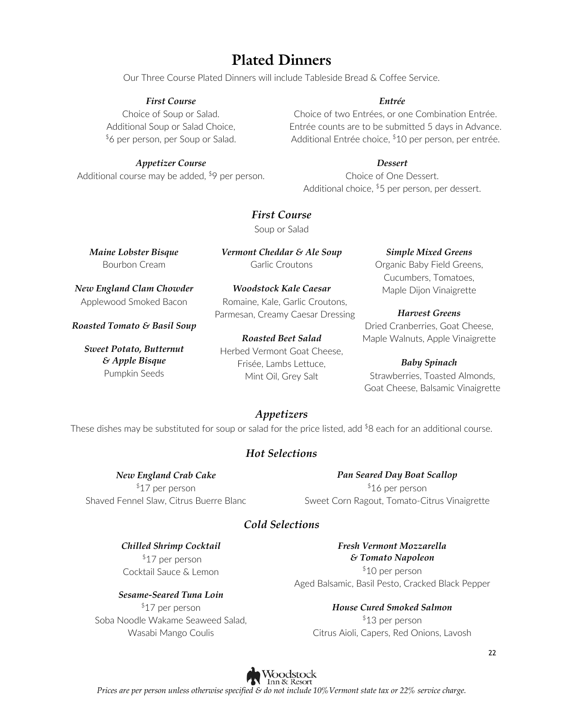### **Plated Dinners**

Our Three Course Plated Dinners will include Tableside Bread & Coffee Service.

#### *First Course*

Choice of Soup or Salad. Additional Soup or Salad Choice, \$6 per person, per Soup or Salad.

#### *Appetizer Course*

Additional course may be added,  $$9$  per person.

#### *Entrée*

Choice of two Entrées, or one Combination Entrée. Entrée counts are to be submitted 5 days in Advance. Additional Entrée choice, \$10 per person, per entrée.

*Dessert*

Choice of One Dessert. Additional choice, \$5 per person, per dessert.

*First Course* Soup or Salad

*Maine Lobster Bisque* Bourbon Cream

*Vermont Cheddar & Ale Soup* Garlic Croutons

*Woodstock Kale Caesar*

*New England Clam Chowder* Applewood Smoked Bacon

*Roasted Tomato & Basil Soup*

*Sweet Potato, Butternut & Apple Bisque* Pumpkin Seeds

Romaine, Kale, Garlic Croutons, Parmesan, Creamy Caesar Dressing *Roasted Beet Salad*

Herbed Vermont Goat Cheese, Frisée, Lambs Lettuce, Mint Oil, Grey Salt

#### *Simple Mixed Greens*

Organic Baby Field Greens, Cucumbers, Tomatoes, Maple Dijon Vinaigrette

#### *Harvest Greens*

Dried Cranberries, Goat Cheese, Maple Walnuts, Apple Vinaigrette

#### *Baby Spinach*

Strawberries, Toasted Almonds, Goat Cheese, Balsamic Vinaigrette

### *Appetizers*

These dishes may be substituted for soup or salad for the price listed, add  $8$  each for an additional course.

#### *Hot Selections*

*New England Crab Cake* 

\$17 per person Shaved Fennel Slaw, Citrus Buerre Blanc

*Pan Seared Day Boat Scallop*  \$16 per person Sweet Corn Ragout, Tomato-Citrus Vinaigrette

#### *Cold Selections*

*Chilled Shrimp Cocktail* \$17 per person Cocktail Sauce & Lemon

*Sesame-Seared Tuna Loin* \$17 per person Soba Noodle Wakame Seaweed Salad, Wasabi Mango Coulis

*Fresh Vermont Mozzarella & Tomato Napoleon* \$10 per person Aged Balsamic, Basil Pesto, Cracked Black Pepper

*House Cured Smoked Salmon* \$13 per person Citrus Aioli, Capers, Red Onions, Lavosh

Woodstock Inn & Resort *Prices are per person unless otherwise specified & do not include 10%Vermont state tax or 22% service charge.*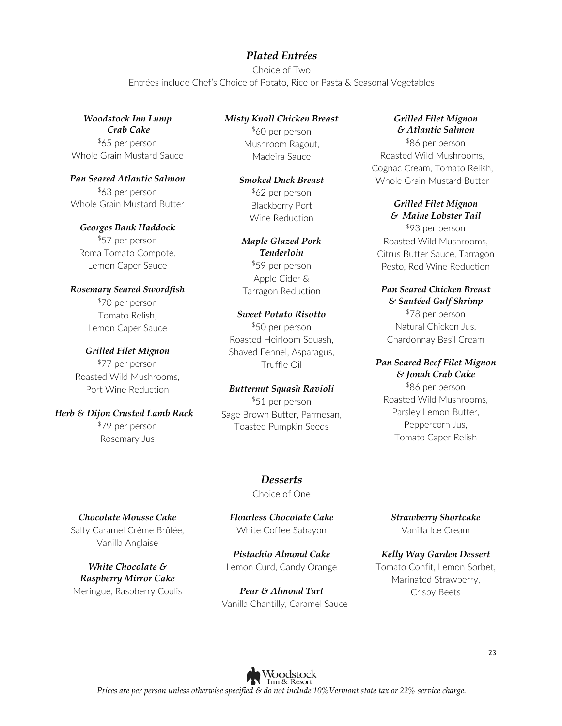#### *Plated Entrées*

Choice of Two Entrées include Chef's Choice of Potato, Rice or Pasta & Seasonal Vegetables

*Woodstock Inn Lump Crab Cake* \$65 per person Whole Grain Mustard Sauce

*Pan Seared Atlantic Salmon* \$63 per person Whole Grain Mustard Butter

*Georges Bank Haddock* \$57 per person Roma Tomato Compote, Lemon Caper Sauce

*Rosemary Seared Swordfish* \$70 per person Tomato Relish, Lemon Caper Sauce

*Grilled Filet Mignon* \$77 per person Roasted Wild Mushrooms, Port Wine Reduction

*Herb & Dijon Crusted Lamb Rack* \$79 per person Rosemary Jus

*Misty Knoll Chicken Breast* \$60 per person Mushroom Ragout, Madeira Sauce

> *Smoked Duck Breast* \$62 per person Blackberry Port Wine Reduction

*Maple Glazed Pork Tenderloin* \$59 per person Apple Cider & Tarragon Reduction

#### *Sweet Potato Risotto* \$50 per person Roasted Heirloom Squash, Shaved Fennel, Asparagus, Truffle Oil

*Butternut Squash Ravioli*  \$51 per person Sage Brown Butter, Parmesan, Toasted Pumpkin Seeds

#### *Grilled Filet Mignon & Atlantic Salmon*

\$86 per person Roasted Wild Mushrooms, Cognac Cream, Tomato Relish, Whole Grain Mustard Butter

#### *Grilled Filet Mignon & Maine Lobster Tail*

\$93 per person Roasted Wild Mushrooms, Citrus Butter Sauce, Tarragon Pesto, Red Wine Reduction

#### *Pan Seared Chicken Breast & Sautéed Gulf Shrimp*

\$78 per person Natural Chicken Jus, Chardonnay Basil Cream

### *Pan Seared Beef Filet Mignon*

*& Jonah Crab Cake* \$86 per person Roasted Wild Mushrooms, Parsley Lemon Butter, Peppercorn Jus, Tomato Caper Relish

*Desserts* Choice of One

*Chocolate Mousse Cake* Salty Caramel Crème Brûlée, Vanilla Anglaise

*White Chocolate & Raspberry Mirror Cake* Meringue, Raspberry Coulis *Flourless Chocolate Cake* White Coffee Sabayon

*Pistachio Almond Cake* Lemon Curd, Candy Orange

*Pear & Almond Tart* Vanilla Chantilly, Caramel Sauce *Strawberry Shortcake* Vanilla Ice Cream

*Kelly Way Garden Dessert* Tomato Confit, Lemon Sorbet, Marinated Strawberry, Crispy Beets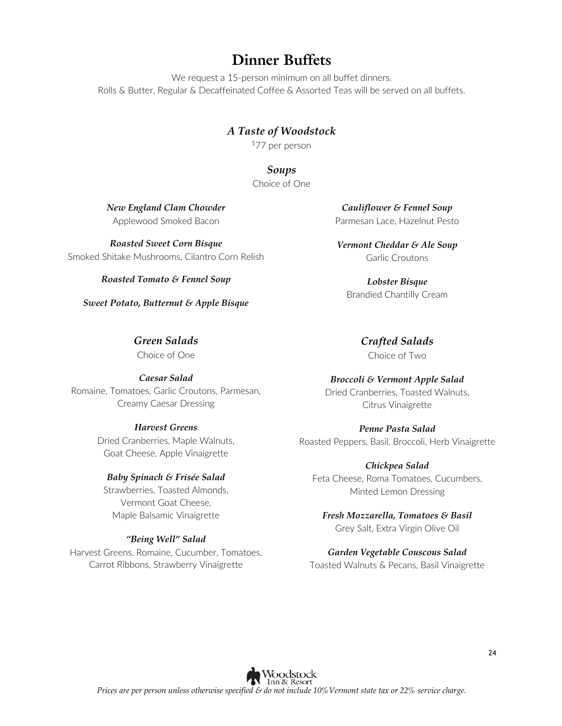### **Dinner Buffets**

We request a 15-person minimum on all buffet dinners. Rolls & Butter, Regular & Decaffeinated Coffee & Assorted Teas will be served on all buffets.

### *A Taste of Woodstock*

\$77 per person

*Soups* Choice of One

*New England Clam Chowder* Applewood Smoked Bacon

*Roasted Sweet Corn Bisque* Smoked Shitake Mushrooms, Cilantro Corn Relish

*Roasted Tomato & Fennel Soup*

*Sweet Potato, Butternut & Apple Bisque*

*Green Salads* Choice of One

*Caesar Salad* Romaine, Tomatoes, Garlic Croutons, Parmesan, Creamy Caesar Dressing

#### *Harvest Greens*

Dried Cranberries, Maple Walnuts, Goat Cheese, Apple Vinaigrette

#### *Baby Spinach & Frisée Salad*

Strawberries, Toasted Almonds, Vermont Goat Cheese, Maple Balsamic Vinaigrette

#### *"Being Well" Salad*

Harvest Greens, Romaine, Cucumber, Tomatoes, Carrot Ribbons, Strawberry Vinaigrette

*Cauliflower & Fennel Soup* Parmesan Lace, Hazelnut Pesto

*Vermont Cheddar & Ale Soup* Garlic Croutons

*Lobster Bisque* Brandied Chantilly Cream

*Crafted Salads*

Choice of Two

#### *Broccoli & Vermont Apple Salad*

Dried Cranberries, Toasted Walnuts, Citrus Vinaigrette

*Penne Pasta Salad* Roasted Peppers, Basil, Broccoli, Herb Vinaigrette

*Chickpea Salad* Feta Cheese, Roma Tomatoes, Cucumbers, Minted Lemon Dressing

#### *Fresh Mozzarella, Tomatoes & Basil* Grey Salt, Extra Virgin Olive Oil

*Garden Vegetable Couscous Salad*  Toasted Walnuts & Pecans, Basil Vinaigrette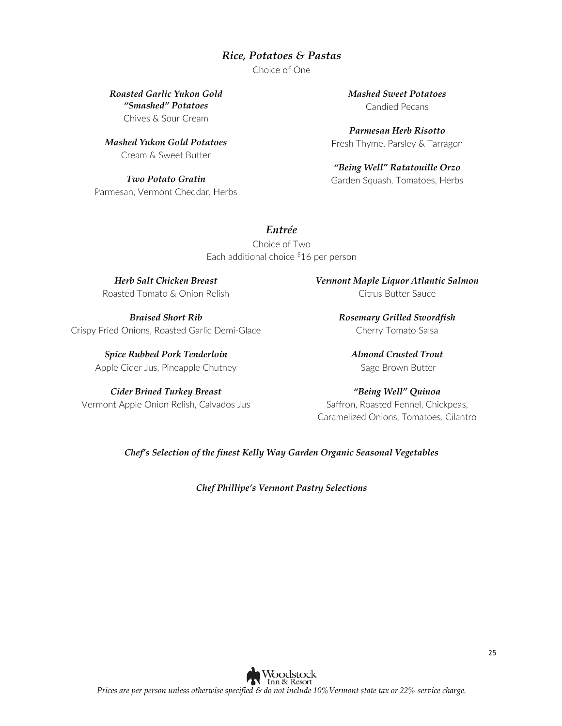#### *Rice, Potatoes & Pastas*

Choice of One

*Roasted Garlic Yukon Gold "Smashed" Potatoes* Chives & Sour Cream

*Mashed Yukon Gold Potatoes* Cream & Sweet Butter

*Two Potato Gratin* Parmesan, Vermont Cheddar, Herbs *Mashed Sweet Potatoes* Candied Pecans

*Parmesan Herb Risotto* Fresh Thyme, Parsley & Tarragon

*"Being Well" Ratatouille Orzo* Garden Squash, Tomatoes, Herbs

#### *Entrée*

Choice of Two Each additional choice \$16 per person

*Herb Salt Chicken Breast* Roasted Tomato & Onion Relish

*Braised Short Rib* Crispy Fried Onions, Roasted Garlic Demi-Glace

> *Spice Rubbed Pork Tenderloin* Apple Cider Jus, Pineapple Chutney

*Cider Brined Turkey Breast* Vermont Apple Onion Relish, Calvados Jus *Vermont Maple Liquor Atlantic Salmon*  Citrus Butter Sauce

> *Rosemary Grilled Swordfish* Cherry Tomato Salsa

*Almond Crusted Trout* Sage Brown Butter

*"Being Well" Quinoa* Saffron, Roasted Fennel, Chickpeas, Caramelized Onions, Tomatoes, Cilantro

*Chef's Selection of the finest Kelly Way Garden Organic Seasonal Vegetables*

*Chef Phillipe's Vermont Pastry Selections*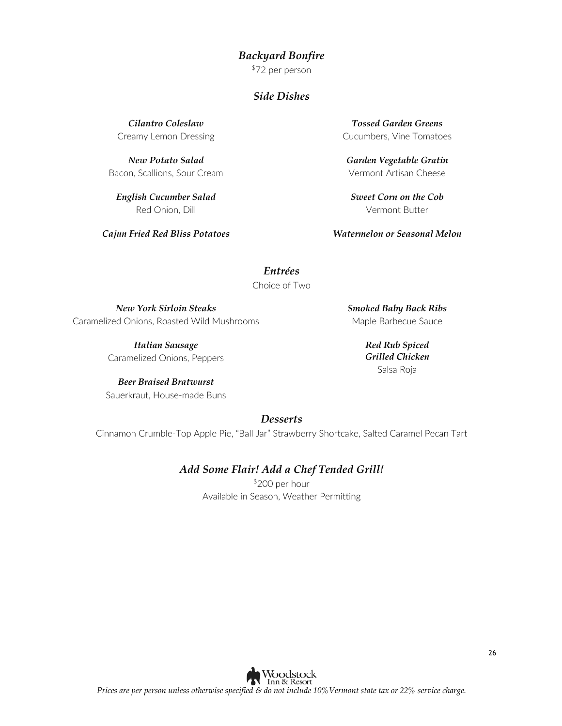#### *Backyard Bonfire*

\$72 per person

#### *Side Dishes*

*Cilantro Coleslaw*  Creamy Lemon Dressing

*New Potato Salad* Bacon, Scallions, Sour Cream

*English Cucumber Salad* Red Onion, Dill

*Cajun Fried Red Bliss Potatoes*

*Tossed Garden Greens* Cucumbers, Vine Tomatoes

*Garden Vegetable Gratin* Vermont Artisan Cheese

*Sweet Corn on the Cob* Vermont Butter

*Watermelon or Seasonal Melon*

*Entrées* Choice of Two

*New York Sirloin Steaks* Caramelized Onions, Roasted Wild Mushrooms

> *Italian Sausage*  Caramelized Onions, Peppers

*Beer Braised Bratwurst* Sauerkraut, House-made Buns *Smoked Baby Back Ribs* Maple Barbecue Sauce

> *Red Rub Spiced Grilled Chicken*  Salsa Roja

*Desserts*

Cinnamon Crumble-Top Apple Pie, "Ball Jar" Strawberry Shortcake, Salted Caramel Pecan Tart

#### *Add Some Flair! Add a Chef Tended Grill!*

\$200 per hour Available in Season, Weather Permitting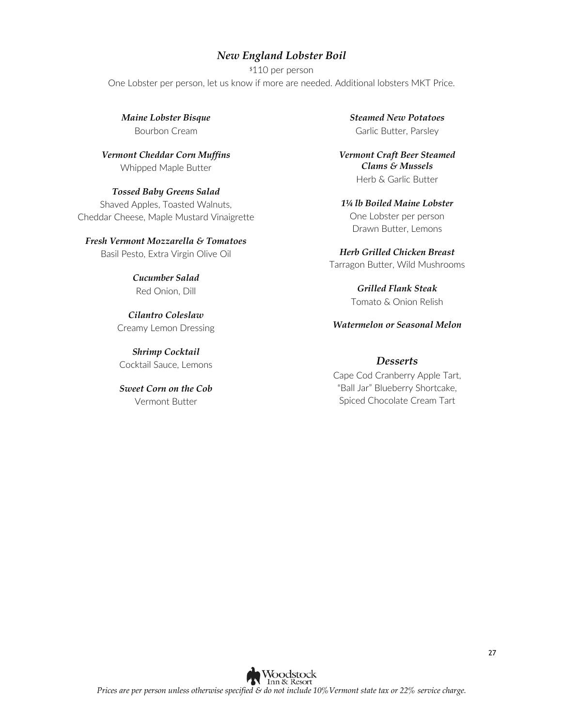#### *New England Lobster Boil*

\$110 per person One Lobster per person, let us know if more are needed. Additional lobsters MKT Price.

*Maine Lobster Bisque* Bourbon Cream

*Vermont Cheddar Corn Muffins* Whipped Maple Butter

*Tossed Baby Greens Salad* Shaved Apples, Toasted Walnuts, Cheddar Cheese, Maple Mustard Vinaigrette

#### *Fresh Vermont Mozzarella & Tomatoes*

Basil Pesto, Extra Virgin Olive Oil

*Cucumber Salad* Red Onion, Dill

*Cilantro Coleslaw* Creamy Lemon Dressing

*Shrimp Cocktail* Cocktail Sauce, Lemons

*Sweet Corn on the Cob* Vermont Butter

*Steamed New Potatoes* Garlic Butter, Parsley

*Vermont Craft Beer Steamed Clams & Mussels* Herb & Garlic Butter

*1¼ lb Boiled Maine Lobster* One Lobster per person Drawn Butter, Lemons

*Herb Grilled Chicken Breast* Tarragon Butter, Wild Mushrooms

> *Grilled Flank Steak* Tomato & Onion Relish

*Watermelon or Seasonal Melon*

#### *Desserts*

Cape Cod Cranberry Apple Tart, "Ball Jar" Blueberry Shortcake, Spiced Chocolate Cream Tart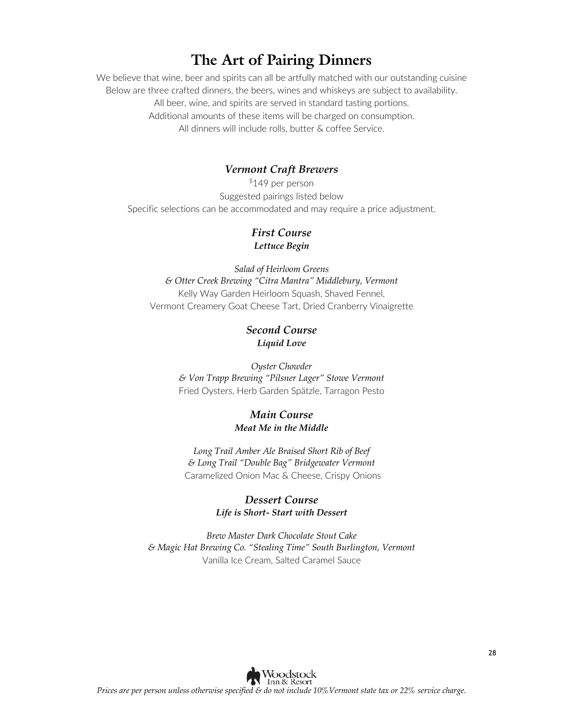### **The Art of Pairing Dinners**

We believe that wine, beer and spirits can all be artfully matched with our outstanding cuisine Below are three crafted dinners, the beers, wines and whiskeys are subject to availability. All beer, wine, and spirits are served in standard tasting portions. Additional amounts of these items will be charged on consumption. All dinners will include rolls, butter & coffee Service.

#### *Vermont Craft Brewers*

\$149 per person Suggested pairings listed below Specific selections can be accommodated and may require a price adjustment.

#### *First Course Lettuce Begin*

*Salad of Heirloom Greens & Otter Creek Brewing "Citra Mantra" Middlebury, Vermont* Kelly Way Garden Heirloom Squash, Shaved Fennel, Vermont Creamery Goat Cheese Tart, Dried Cranberry Vinaigrette

#### *Second Course Liquid Love*

*Oyster Chowder & Von Trapp Brewing "Pilsner Lager" Stowe Vermont* Fried Oysters, Herb Garden Spätzle, Tarragon Pesto

#### *Main Course Meat Me in the Middle*

*Long Trail Amber Ale Braised Short Rib of Beef & Long Trail "Double Bag" Bridgewater Vermont* Caramelized Onion Mac & Cheese, Crispy Onions

#### *Dessert Course Life is Short- Start with Dessert*

*Brew Master Dark Chocolate Stout Cake & Magic Hat Brewing Co. "Stealing Time" South Burlington, Vermont* Vanilla Ice Cream, Salted Caramel Sauce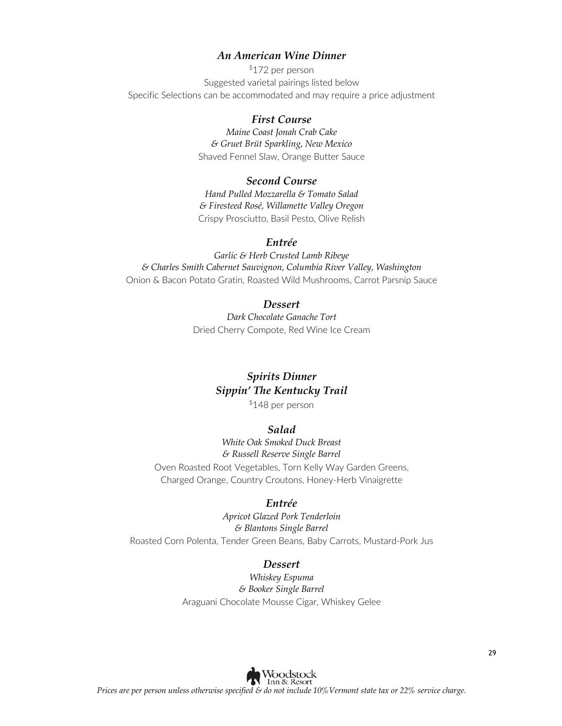#### *An American Wine Dinner*

\$172 per person Suggested varietal pairings listed below Specific Selections can be accommodated and may require a price adjustment

#### *First Course*

*Maine Coast Jonah Crab Cake & Gruet Brüt Sparkling, New Mexico* Shaved Fennel Slaw, Orange Butter Sauce

#### *Second Course*

*Hand Pulled Mozzarella & Tomato Salad & Firesteed Rosé, Willamette Valley Oregon* Crispy Prosciutto, Basil Pesto, Olive Relish

#### *Entrée*

*Garlic & Herb Crusted Lamb Ribeye & Charles Smith Cabernet Sauvignon, Columbia River Valley, Washington*  Onion & Bacon Potato Gratin, Roasted Wild Mushrooms, Carrot Parsnip Sauce

#### *Dessert*

*Dark Chocolate Ganache Tort* Dried Cherry Compote, Red Wine Ice Cream

#### *Spirits Dinner Sippin' The Kentucky Trail*

\$148 per person

#### *Salad*

*White Oak Smoked Duck Breast & Russell Reserve Single Barrel* Oven Roasted Root Vegetables, Torn Kelly Way Garden Greens, Charged Orange, Country Croutons, Honey-Herb Vinaigrette

#### *Entrée*

*Apricot Glazed Pork Tenderloin & Blantons Single Barrel*

Roasted Corn Polenta, Tender Green Beans, Baby Carrots, Mustard-Pork Jus

#### *Dessert*

*Whiskey Espuma & Booker Single Barrel* Araguani Chocolate Mousse Cigar, Whiskey Gelee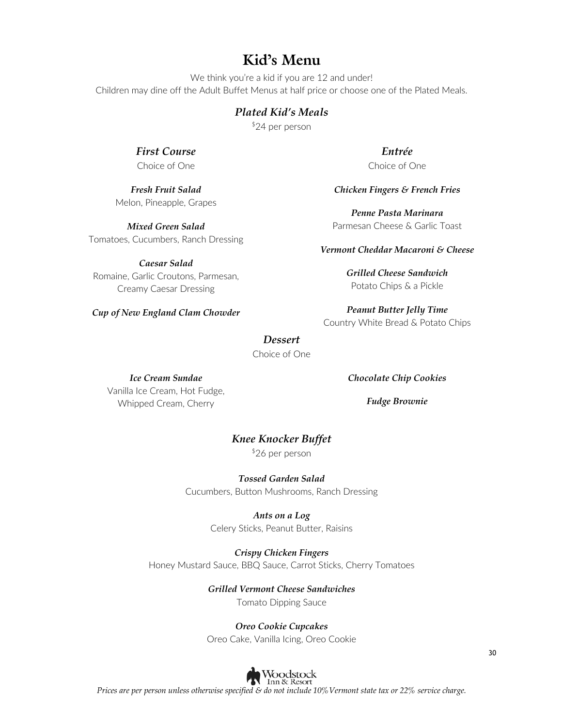### **Kid's Menu**

We think you're a kid if you are 12 and under! Children may dine off the Adult Buffet Menus at half price or choose one of the Plated Meals.

#### *Plated Kid's Meals*

\$24 per person

*First Course* Choice of One

*Fresh Fruit Salad* Melon, Pineapple, Grapes

*Mixed Green Salad* Tomatoes, Cucumbers, Ranch Dressing

*Caesar Salad* Romaine, Garlic Croutons, Parmesan, Creamy Caesar Dressing

*Cup of New England Clam Chowder* 

*Entrée* Choice of One

#### *Chicken Fingers & French Fries*

*Penne Pasta Marinara* Parmesan Cheese & Garlic Toast

#### *Vermont Cheddar Macaroni & Cheese*

*Grilled Cheese Sandwich* Potato Chips & a Pickle

*Peanut Butter Jelly Time* Country White Bread & Potato Chips

#### *Dessert*

Choice of One

#### *Ice Cream Sundae*

Vanilla Ice Cream, Hot Fudge, Whipped Cream, Cherry

*Chocolate Chip Cookies*

*Fudge Brownie*

#### *Knee Knocker Buffet*

\$26 per person

*Tossed Garden Salad* Cucumbers, Button Mushrooms, Ranch Dressing

> *Ants on a Log* Celery Sticks, Peanut Butter, Raisins

*Crispy Chicken Fingers* Honey Mustard Sauce, BBQ Sauce, Carrot Sticks, Cherry Tomatoes

*Grilled Vermont Cheese Sandwiches*

Tomato Dipping Sauce

#### *Oreo Cookie Cupcakes*

Oreo Cake, Vanilla Icing, Oreo Cookie

30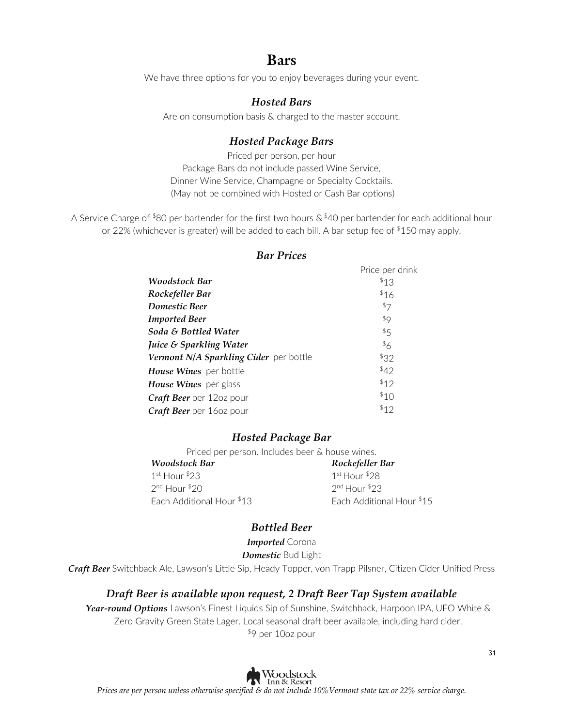### **Bars**

We have three options for you to enjoy beverages during your event.

#### *Hosted Bars*

Are on consumption basis & charged to the master account.

### *Hosted Package Bars*

Priced per person, per hour Package Bars do not include passed Wine Service, Dinner Wine Service, Champagne or Specialty Cocktails. (May not be combined with Hosted or Cash Bar options)

A Service Charge of \$80 per bartender for the first two hours  $\&$  \$40 per bartender for each additional hour or 22% (whichever is greater) will be added to each bill. A bar setup fee of  $$150$  may apply.

|                                        | Price per drink |
|----------------------------------------|-----------------|
| <b>Woodstock Bar</b>                   | 513             |
| Rockefeller Bar                        | \$16            |
| <b>Domestic Beer</b>                   | \$7             |
| <b>Imported Beer</b>                   | \$9             |
| Soda & Bottled Water                   | \$5             |
| <i>Juice &amp; Sparkling Water</i>     | \$6             |
| Vermont N/A Sparkling Cider per bottle | 532             |
| House Wines per bottle                 | \$42            |
| <b>House Wines</b> per glass           | \$12            |
| <b>Craft Beer</b> per 12oz pour        | 510             |
| Craft Beer per 160z pour               | \$12            |
|                                        |                 |

#### *Bar Prices*

#### *Hosted Package Bar*

Priced per person. Includes beer & house wines.

*Woodstock Bar Rockefeller Bar*  $1^{\text{st}}$  Hour  $23$   $1^{\text{st}}$  Hour  $28$ 2<sup>nd</sup> Hour \$20 2nd Hour \$23 Each Additional Hour \$13 Each Additional Hour \$15

#### *Bottled Beer*

*Imported* Corona

*Domestic* Bud Light

*Craft Beer* Switchback Ale, Lawson's Little Sip, Heady Topper, von Trapp Pilsner, Citizen Cider Unified Press

#### *Draft Beer is available upon request, 2 Draft Beer Tap System available*

*Year-round Options* Lawson's Finest Liquids Sip of Sunshine, Switchback, Harpoon IPA, UFO White & Zero Gravity Green State Lager. Local seasonal draft beer available, including hard cider. \$9 per 10oz pour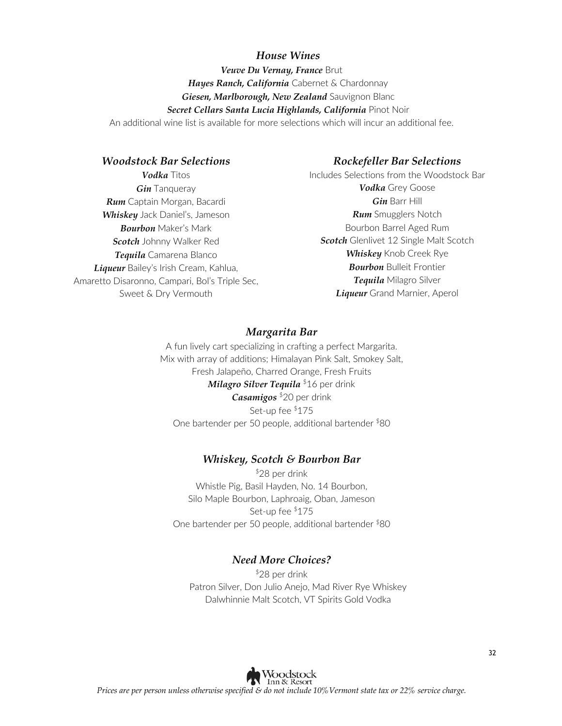#### *House Wines*

*Veuve Du Vernay, France* Brut *Hayes Ranch, California* Cabernet & Chardonnay *Giesen, Marlborough, New Zealand* Sauvignon Blanc *Secret Cellars Santa Lucia Highlands, California* Pinot Noir An additional wine list is available for more selections which will incur an additional fee.

#### *Woodstock Bar Selections*

*Vodka* Titos *Gin* Tanqueray *Rum* Captain Morgan, Bacardi *Whiskey* Jack Daniel's, Jameson *Bourbon* Maker's Mark *Scotch* Johnny Walker Red *Tequila* Camarena Blanco *Liqueur* Bailey's Irish Cream, Kahlua, Amaretto Disaronno, Campari, Bol's Triple Sec, Sweet & Dry Vermouth

#### *Rockefeller Bar Selections*

Includes Selections from the Woodstock Bar *Vodka* Grey Goose *Gin* Barr Hill *Rum* Smugglers Notch Bourbon Barrel Aged Rum *Scotch* Glenlivet 12 Single Malt Scotch *Whiskey* Knob Creek Rye *Bourbon* Bulleit Frontier *Tequila* Milagro Silver *Liqueur* Grand Marnier, Aperol

#### *Margarita Bar*

A fun lively cart specializing in crafting a perfect Margarita. Mix with array of additions; Himalayan Pink Salt, Smokey Salt, Fresh Jalapeño, Charred Orange, Fresh Fruits *Milagro Silver Tequila* \$16 per drink *Casamigos* \$20 per drink Set-up fee \$175 One bartender per 50 people, additional bartender \$80

#### *Whiskey, Scotch & Bourbon Bar*

\$28 per drink Whistle Pig, Basil Hayden, No. 14 Bourbon, Silo Maple Bourbon, Laphroaig, Oban, Jameson Set-up fee \$175 One bartender per 50 people, additional bartender \$80

#### *Need More Choices?*

\$28 per drink Patron Silver, Don Julio Anejo, Mad River Rye Whiskey Dalwhinnie Malt Scotch, VT Spirits Gold Vodka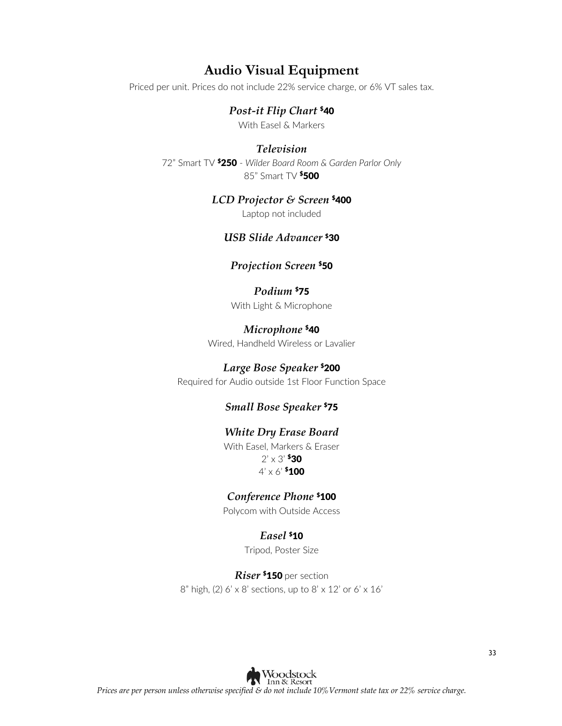### **Audio Visual Equipment**

Priced per unit. Prices do not include 22% service charge, or 6% VT sales tax.

#### *Post-it Flip Chart* \$40

With Easel & Markers

#### *Television*

72" Smart TV \$250 - *Wilder Board Room & Garden Parlor Only* 85" Smart TV **\$500** 

#### *LCD Projector & Screen* \$400

Laptop not included

#### *USB Slide Advancer* \$30

#### *Projection Screen* \$50

#### *Podium* \$75

With Light & Microphone

#### *Microphone* \$40

Wired, Handheld Wireless or Lavalier

#### *Large Bose Speaker* \$200

Required for Audio outside 1st Floor Function Space

#### *Small Bose Speaker* \$75

#### *White Dry Erase Board*

With Easel, Markers & Eraser  $2' \times 3'$  \$30  $4' \times 6'$  \$100

#### *Conference Phone* \$100

Polycom with Outside Access

#### *Easel* \$10

Tripod, Poster Size

*Riser* \$150 per section  $8"$  high, (2) 6' x 8' sections, up to  $8' \times 12'$  or 6' x 16'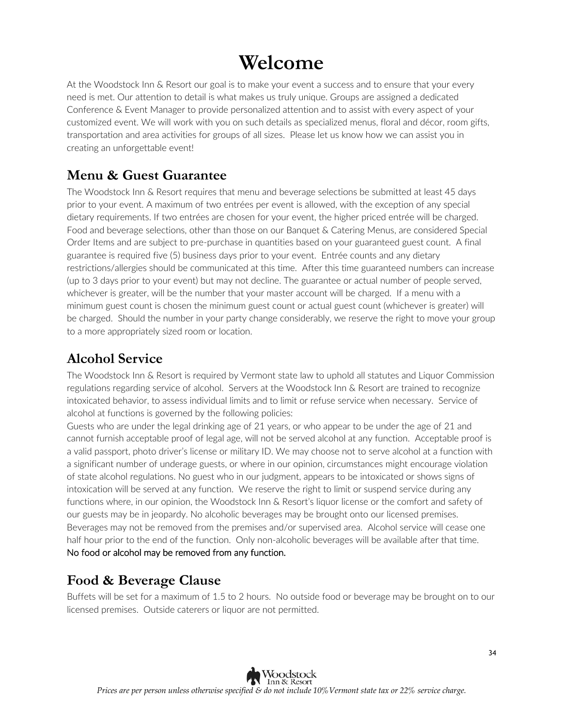# **Welcome**

At the Woodstock Inn & Resort our goal is to make your event a success and to ensure that your every need is met. Our attention to detail is what makes us truly unique. Groups are assigned a dedicated Conference & Event Manager to provide personalized attention and to assist with every aspect of your customized event. We will work with you on such details as specialized menus, floral and décor, room gifts, transportation and area activities for groups of all sizes. Please let us know how we can assist you in creating an unforgettable event!

### **Menu & Guest Guarantee**

The Woodstock Inn & Resort requires that menu and beverage selections be submitted at least 45 days prior to your event. A maximum of two entrées per event is allowed, with the exception of any special dietary requirements. If two entrées are chosen for your event, the higher priced entrée will be charged. Food and beverage selections, other than those on our Banquet & Catering Menus, are considered Special Order Items and are subject to pre-purchase in quantities based on your guaranteed guest count. A final guarantee is required five (5) business days prior to your event. Entrée counts and any dietary restrictions/allergies should be communicated at this time. After this time guaranteed numbers can increase (up to 3 days prior to your event) but may not decline. The guarantee or actual number of people served, whichever is greater, will be the number that your master account will be charged. If a menu with a minimum guest count is chosen the minimum guest count or actual guest count (whichever is greater) will be charged. Should the number in your party change considerably, we reserve the right to move your group to a more appropriately sized room or location.

### **Alcohol Service**

The Woodstock Inn & Resort is required by Vermont state law to uphold all statutes and Liquor Commission regulations regarding service of alcohol. Servers at the Woodstock Inn & Resort are trained to recognize intoxicated behavior, to assess individual limits and to limit or refuse service when necessary. Service of alcohol at functions is governed by the following policies:

Guests who are under the legal drinking age of 21 years, or who appear to be under the age of 21 and cannot furnish acceptable proof of legal age, will not be served alcohol at any function. Acceptable proof is a valid passport, photo driver's license or military ID. We may choose not to serve alcohol at a function with a significant number of underage guests, or where in our opinion, circumstances might encourage violation of state alcohol regulations. No guest who in our judgment, appears to be intoxicated or shows signs of intoxication will be served at any function. We reserve the right to limit or suspend service during any functions where, in our opinion, the Woodstock Inn & Resort's liquor license or the comfort and safety of our guests may be in jeopardy. No alcoholic beverages may be brought onto our licensed premises. Beverages may not be removed from the premises and/or supervised area. Alcohol service will cease one half hour prior to the end of the function. Only non-alcoholic beverages will be available after that time. No food or alcohol may be removed from any function.

### **Food & Beverage Clause**

Buffets will be set for a maximum of 1.5 to 2 hours. No outside food or beverage may be brought on to our licensed premises. Outside caterers or liquor are not permitted.